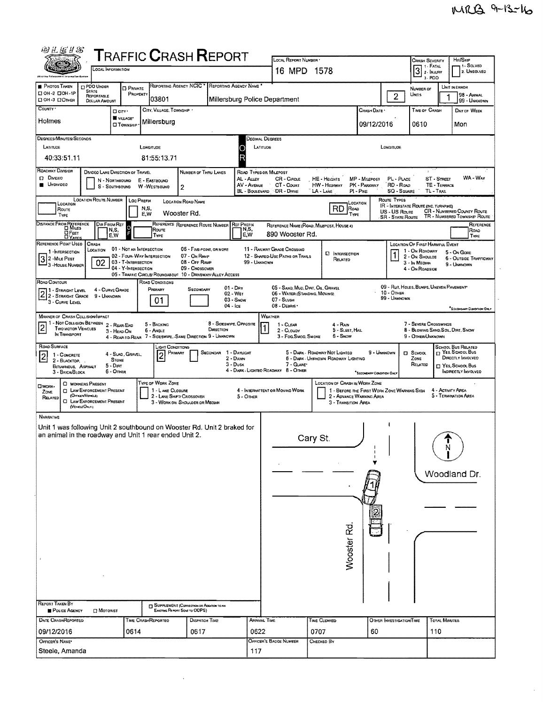$\mathcal{L}_{\mathcal{L}}$ 

| 羽孔医#8                                                                                                                             |                                                                                                              |                                                        |                                                                    | <b>TRAFFIC CRASH REPORT</b>                                              |                         |                                                    | LOCAL REPORT NUMBER *                                            |                                                              |                                                                         |                                        | <b>CRASH SEVERITY</b>                                   |                             | Hrt/Skip                                                   |
|-----------------------------------------------------------------------------------------------------------------------------------|--------------------------------------------------------------------------------------------------------------|--------------------------------------------------------|--------------------------------------------------------------------|--------------------------------------------------------------------------|-------------------------|----------------------------------------------------|------------------------------------------------------------------|--------------------------------------------------------------|-------------------------------------------------------------------------|----------------------------------------|---------------------------------------------------------|-----------------------------|------------------------------------------------------------|
|                                                                                                                                   | LOCAL INFORMATION                                                                                            |                                                        |                                                                    |                                                                          |                         |                                                    | 16 MPD 1578                                                      |                                                              |                                                                         |                                        | 1 1 - Fatal<br>$3$ 2- INJURY                            |                             | 1- SOLVED<br>2. UNSOLVED                                   |
| PHOTOS TAKEN                                                                                                                      | <b>CIPDO UNDER</b>                                                                                           | <b>D</b> PRIVATE                                       | REPORTING AGENCY NCIC                                              |                                                                          | REPORTING AGENCY NAME   |                                                    |                                                                  |                                                              |                                                                         |                                        | $3 - PDO$                                               |                             | UNIT IN ERROR                                              |
| □ ОН-2 □ ОН-1Р<br>□ ОН -3 □ ОТНЕВ                                                                                                 | <b>STATE</b><br>REPORTABLE<br><b>DOLLAR AMOUNT</b>                                                           | PROPERTY                                               | 03801                                                              |                                                                          |                         |                                                    | Millersburg Police Department                                    |                                                              |                                                                         | $\overline{2}$                         | NUMBER OF<br><b>Units</b>                               |                             | 98 - ANIMAL<br>99 - UNKNOWN                                |
| COUNTY '                                                                                                                          | D CITY *                                                                                                     |                                                        | CITY, VILLAGE, TOWNSHIP                                            |                                                                          |                         |                                                    |                                                                  |                                                              | Crash Date *                                                            |                                        | TIME OF CRASH                                           |                             | DAY OF WEEK                                                |
| Holmes                                                                                                                            |                                                                                                              | WILLAGE*<br><b>CI TOWNSHIP</b>                         | Millersburg                                                        |                                                                          |                         |                                                    |                                                                  |                                                              | 09/12/2016                                                              |                                        | 0610                                                    |                             | Mon                                                        |
| <b>DEGREES/MINUTES/SECONDS</b>                                                                                                    |                                                                                                              |                                                        |                                                                    |                                                                          |                         |                                                    | DECIMAL DEGREES                                                  |                                                              |                                                                         |                                        |                                                         |                             |                                                            |
| LATITUDE                                                                                                                          |                                                                                                              | LONGITUDE                                              |                                                                    |                                                                          | C                       | LATITUDE                                           |                                                                  |                                                              |                                                                         | LONGITUDE                              |                                                         |                             |                                                            |
| 40:33:51.11<br><b>ROADWAY DIVISION</b>                                                                                            |                                                                                                              |                                                        | 81:55:13.71                                                        |                                                                          | R                       |                                                    |                                                                  |                                                              |                                                                         |                                        |                                                         |                             |                                                            |
| $D$ Dwnee<br><b>UNDIVIDEO</b>                                                                                                     | DIVIDEO LANE DIRECTION OF TRAVEL<br>N - NORTHBOUND<br>S - SOUTHBOUND                                         | E - EASTBOUND<br>W -WESTBOUND                          |                                                                    | NUMBER OF THRU LANES<br>$\overline{2}$                                   |                         | AL - ALLEY<br>AV - AVENUE<br><b>BL - BOULEVARD</b> | ROAD TYPES OR MILEPOST<br>CR - CIRCLE<br>CT - COURT<br>DR - DRNE | HE - HEIGHTS<br>HW - HIGHWAY<br>LA - LANE                    | MP - MAEPOST<br>PK - PARKWAY<br>$PI - P$ IKE                            | PL - PLACE<br>RD - Road<br>SQ - Souare | TL - TRAIL                                              | ST - STREET<br>TE - TERRACE | WA - Way                                                   |
| LOCATION                                                                                                                          | LOCATION ROUTE NUMBER   LOC PREFIX                                                                           |                                                        |                                                                    | LOCATION ROAD NAME                                                       |                         |                                                    |                                                                  |                                                              | LOCATION                                                                | ROUTE TYPES                            | <b>IR</b> - INTERSTATE ROUTE (INC. TURNPIKE)            |                             |                                                            |
| Route<br>TYPE                                                                                                                     |                                                                                                              | N.S.<br>E.W                                            |                                                                    | Wooster Rd.                                                              |                         |                                                    |                                                                  | RD                                                           | Road<br>TYPE                                                            | US - US Route<br>SR - STATE ROUTE      |                                                         |                             | CR - NUMBERED COUNTY ROUTE<br>TR - NUMBERED TOWNSHIP ROUTE |
| DISTANCE FROM REFERENCE                                                                                                           | DIR FROM REF<br>N,S,                                                                                         | $\circ$<br>F                                           | Route                                                              | REFERENCE REFERENCE ROUTE NUMBER                                         | <b>REF PREFIX</b>       | IN,S,                                              |                                                                  | REFERENCE NAME (ROAD, MILEPOST, HOUSE 4)                     |                                                                         |                                        |                                                         |                             | REFERENCE<br>Road                                          |
| $\mathbf{Q}$ Feet<br>DYAROS<br>REFERENCE POINT USED                                                                               | E.W<br>CRASH                                                                                                 |                                                        | TYPE                                                               |                                                                          |                         | E.W                                                | 890 Wooster Rd.                                                  |                                                              |                                                                         |                                        | LOCATION OF FIRST HARMFUL EVENT                         |                             | TYPE                                                       |
| 1 - INTERSECTION                                                                                                                  | Location                                                                                                     | 01 - NOT AN INTERSECTION<br>02 - FOUR-WAY INTERSECTION |                                                                    | 06 - Five-Point, OR MORE<br>07 - On RAMP                                 |                         |                                                    | 11 - RAILWAY GRADE CROSSING<br>12 - SHARED-USE PATHS OR TRAILS   | <b>EI</b> INTERSECTION<br>RELATED                            |                                                                         |                                        | 1 - On ROADWAY<br>2 - ON SHOULDE                        |                             | 5 - ON GORE<br><b>6 - OUTSIDE TRAFFICWAY</b>               |
| 32-MiLE Post<br>- 3 - House Numser                                                                                                | 02                                                                                                           | 03 - T-INTERSECTION<br>04 - Y-Intersection             |                                                                    | 08 - OFF RAMP<br>09 - CROSSOVER                                          |                         | 99 - UNKNOWN                                       |                                                                  |                                                              |                                                                         |                                        | 3 - In Median<br>4 - On Roadside                        |                             | 9 - UNKNOWN                                                |
| Road Contour                                                                                                                      |                                                                                                              |                                                        | ROAD CONDITIONS                                                    | 05 - TRAFFIC CIRCLE/ ROUNGABOUT 10 - DRIVEWAY/ ALLEY ACCESS              | $01 - \text{Day}$       |                                                    | 05 - SAND, MUD, DIRT, OIL, GRAVEL                                |                                                              |                                                                         |                                        | 09 - Rut, HOLES, BUMPS, UNEVEN PAVEMENT                 |                             |                                                            |
| 11 - Straight Level<br>$22 -$ Straight Grade                                                                                      | 4 - CURVE GRADE<br>9 - UNKNOWN                                                                               |                                                        | PROMARY<br>01                                                      | SECONDARY                                                                | 02 - Wет<br>$03 -$ SNOW |                                                    | 06 - WATER (STANDING, MOVING)<br>07 - SLUSH                      |                                                              |                                                                         | 10 - Omen<br>99 - Unknown              |                                                         |                             |                                                            |
| 3 - CURVE LEVEL                                                                                                                   |                                                                                                              |                                                        |                                                                    |                                                                          | $04  1$ ce              |                                                    | 08 - DEBRIS                                                      |                                                              |                                                                         |                                        |                                                         |                             | SECONDARY CONDITION ONLY                                   |
| <b>MANNER OF CRASH COLLISION/IMPACT</b><br>1 - Not Collision Between                                                              | 2 - REAR-END                                                                                                 |                                                        | 5 - BACKING                                                        |                                                                          | 8 - SIOESWIPE, OPPOSITE |                                                    | WEATHER<br>$1 - C$ LEAR                                          | 4 - RAIN                                                     |                                                                         |                                        | 7 - SEVERE CROSSWINDS                                   |                             |                                                            |
| <b>TWO MOTOR VEHICLES</b><br>IN TRANSPORT                                                                                         | 3 - HEAD-ON                                                                                                  |                                                        | 6 - Angle                                                          | DIRECTION<br>4 - REAR-TO-REAR 7 - SIDESWIPE, -SAME DIRECTION 9 - UNKNOWN |                         |                                                    | 2 - CLOUDY<br>3 - Fog.Smog.Smoke                                 | 5 - SLEET, HAIL<br>5 - Snow                                  |                                                                         |                                        | 8 - BLOWING SAND, SOIL, DIRT, SNOW<br>9 - OTHER/UNKNOWN |                             |                                                            |
| ROAD SURFACE<br>1 - CONCRETE<br>$\sigma$                                                                                          |                                                                                                              | 4 - SLAG, GRAVEL.                                      | IGHT CONDITIONS<br>PRIMARY                                         |                                                                          | SECONDAR 1 - DAYLIGHT   |                                                    |                                                                  | 5 - DARK - ROADWAY NOT LIGHTED                               |                                                                         | 9 - Unknown                            | <b>D</b> SCHOOL                                         |                             | <b>SCHOOL BUS RELATED</b><br>$\sqcap$ Yes. School Bus      |
| 2 - BLACKTOP.<br><b>BITUMINOUS, ASPHALT</b>                                                                                       | <b>STONE</b><br>$5 - Dir$                                                                                    |                                                        | $\overline{c}$                                                     |                                                                          | 2 - Dawn<br>$3 - D$ usk |                                                    | $7 -$ GLARE*                                                     | 6 - DARK - UNKNOWN ROADWAY LIGHTING                          |                                                                         |                                        | ZONE<br>RELATED                                         |                             | DIRECTLY INVOLVED<br>T YES, SCHOOL BUS                     |
| 3 - BRICK/BLOCK                                                                                                                   | 6 - OTHER                                                                                                    |                                                        |                                                                    |                                                                          |                         |                                                    | 4 - DARK - LIGHTEO ROADWAY 8 - OTHER                             |                                                              | *SECONDARY CONDITION ONLY                                               |                                        |                                                         |                             | INDIRECTLY INVOLVED                                        |
| <b>CIWORK</b> .<br>ZONE<br>RELATED                                                                                                | C WORKERS PRESENT<br><b>C LAW ENFORCEMENT PRESENT</b><br>(Orrest/Veneus)<br><b>C LAW ENFORCEMENT PRESENT</b> |                                                        | TYPE OF WORK ZONE<br>1 - LANE CLOSURE<br>2 - LANE SHIFT/ CROSSOVER | 3 - WORK ON SHOULDER OR MEOIAN                                           |                         | 5 - Other                                          | 4 - INTERMITTENT OR MOVING WORK                                  | <b>LOCATION OF CRASH IN WORK ZONE</b><br>3 - TRANSITION AREA | 1 - BEFORE THE FIRST WORK ZONE WARNING SIGN<br>2 - ADVANCE WARNING AREA |                                        |                                                         | 4 - ACTIVITY AREA           | 5 - TERMINATION AREA                                       |
| (VENCLEONLY)<br><b>NARRATIVE</b>                                                                                                  |                                                                                                              |                                                        |                                                                    |                                                                          |                         |                                                    |                                                                  |                                                              |                                                                         |                                        |                                                         |                             |                                                            |
| Unit 1 was following Unit 2 southbound on Wooster Rd. Unit 2 braked for<br>an animal in the roadway and Unit 1 rear ended Unit 2. |                                                                                                              |                                                        |                                                                    |                                                                          |                         |                                                    |                                                                  | Cary St.                                                     |                                                                         |                                        |                                                         | N                           |                                                            |
|                                                                                                                                   |                                                                                                              |                                                        |                                                                    |                                                                          |                         |                                                    |                                                                  |                                                              |                                                                         |                                        |                                                         |                             | Woodland Dr.                                               |
|                                                                                                                                   |                                                                                                              |                                                        |                                                                    |                                                                          |                         |                                                    |                                                                  |                                                              |                                                                         |                                        |                                                         |                             |                                                            |
|                                                                                                                                   |                                                                                                              |                                                        |                                                                    |                                                                          |                         |                                                    |                                                                  |                                                              |                                                                         |                                        |                                                         |                             |                                                            |
|                                                                                                                                   |                                                                                                              |                                                        |                                                                    |                                                                          |                         |                                                    |                                                                  |                                                              |                                                                         |                                        |                                                         |                             |                                                            |
|                                                                                                                                   |                                                                                                              |                                                        |                                                                    |                                                                          |                         |                                                    |                                                                  | Wooster <sub>Rd</sub>                                        |                                                                         |                                        |                                                         |                             |                                                            |
|                                                                                                                                   |                                                                                                              |                                                        |                                                                    |                                                                          |                         |                                                    |                                                                  |                                                              |                                                                         |                                        |                                                         |                             |                                                            |
|                                                                                                                                   |                                                                                                              |                                                        |                                                                    |                                                                          |                         |                                                    |                                                                  |                                                              |                                                                         |                                        |                                                         |                             |                                                            |
|                                                                                                                                   |                                                                                                              |                                                        |                                                                    |                                                                          |                         |                                                    |                                                                  |                                                              |                                                                         |                                        |                                                         |                             |                                                            |
|                                                                                                                                   |                                                                                                              |                                                        |                                                                    |                                                                          |                         |                                                    |                                                                  |                                                              |                                                                         |                                        |                                                         |                             |                                                            |
| <b>REPORT TAKEN BY</b>                                                                                                            |                                                                                                              |                                                        |                                                                    | <b>TT SUPPLEMENT (CORRECTION OR ASSURON TO AN</b>                        |                         |                                                    |                                                                  |                                                              |                                                                         |                                        |                                                         |                             |                                                            |
| POLICE AGENCY<br>DATE CRASHREPORTED                                                                                               | <b>D</b> MOTORIST                                                                                            | <b>TIME CRASHREPORTED</b>                              |                                                                    | EXISTING REPORT SENT TO ODPS)<br><b>DISPATCH TIME</b>                    |                         | <b>ARRIVAL TIME</b>                                |                                                                  | TIME CLEARED                                                 |                                                                         | OTHER INVESTIGATION TIME               |                                                         | <b>TOTAL MINUTES</b>        |                                                            |
| 09/12/2016                                                                                                                        |                                                                                                              | 0614                                                   |                                                                    | 0617                                                                     |                         | 0622                                               |                                                                  | 0707                                                         | 60                                                                      |                                        | 110                                                     |                             |                                                            |
| OFFICER'S NAME*                                                                                                                   |                                                                                                              |                                                        |                                                                    |                                                                          |                         |                                                    | OFFICER'S BADGE NUMBER                                           | CHECKED BY                                                   |                                                                         |                                        |                                                         |                             |                                                            |
| Steele, Amanda                                                                                                                    |                                                                                                              |                                                        |                                                                    |                                                                          |                         | 117                                                |                                                                  |                                                              |                                                                         |                                        |                                                         |                             |                                                            |

 $\bar{\lambda}$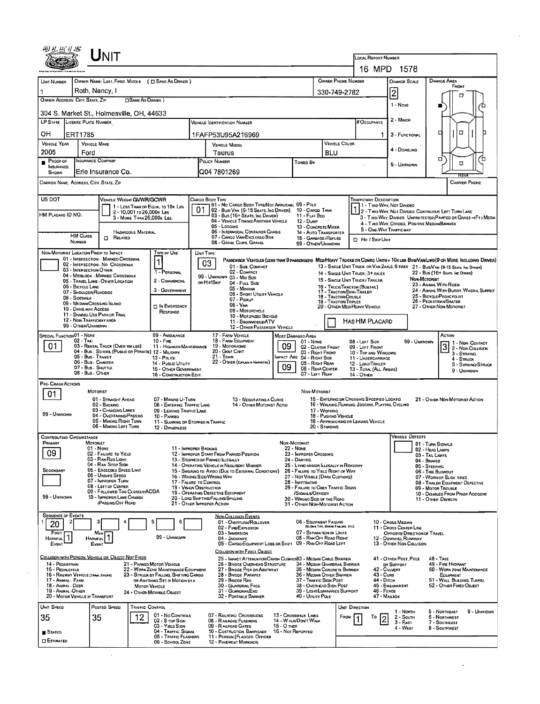| UNIT                                                                                                                                                                                                                                                                                                                                                                                                                 |                                          |                                                                                        |                                                         |                                                                                                                  |                                                                                                                                                                                               |                                                                                                                                                                                 |                                                                                                 |                                                          |                                                   |                                       |                |                                                                                                                                   | <b>LOCAL REPORT NUMBER</b><br>16 MPD 1578                         |                                                                       |                                                             |                     |  |  |  |  |
|----------------------------------------------------------------------------------------------------------------------------------------------------------------------------------------------------------------------------------------------------------------------------------------------------------------------------------------------------------------------------------------------------------------------|------------------------------------------|----------------------------------------------------------------------------------------|---------------------------------------------------------|------------------------------------------------------------------------------------------------------------------|-----------------------------------------------------------------------------------------------------------------------------------------------------------------------------------------------|---------------------------------------------------------------------------------------------------------------------------------------------------------------------------------|-------------------------------------------------------------------------------------------------|----------------------------------------------------------|---------------------------------------------------|---------------------------------------|----------------|-----------------------------------------------------------------------------------------------------------------------------------|-------------------------------------------------------------------|-----------------------------------------------------------------------|-------------------------------------------------------------|---------------------|--|--|--|--|
| OWNER NAME: LAST, FIRST, MIDDLE ( C SAME AS DRIVER )                                                                                                                                                                                                                                                                                                                                                                 |                                          |                                                                                        |                                                         |                                                                                                                  |                                                                                                                                                                                               |                                                                                                                                                                                 |                                                                                                 |                                                          |                                                   |                                       |                |                                                                                                                                   |                                                                   |                                                                       |                                                             |                     |  |  |  |  |
| UNIT NUMBER                                                                                                                                                                                                                                                                                                                                                                                                          |                                          |                                                                                        |                                                         |                                                                                                                  |                                                                                                                                                                                               |                                                                                                                                                                                 |                                                                                                 | OWNER PHONE NUMBER<br><b>DAMAGE AREA</b><br>DAMAGE SCALE |                                                   |                                       |                |                                                                                                                                   |                                                                   |                                                                       |                                                             |                     |  |  |  |  |
| 1<br>OWNER ADDRESS: CITY, STATE, ZIP                                                                                                                                                                                                                                                                                                                                                                                 |                                          | Roth, Nancy, I                                                                         | SAME AS DRIVER )                                        |                                                                                                                  |                                                                                                                                                                                               |                                                                                                                                                                                 |                                                                                                 | 330-749-2782                                             |                                                   | $\overline{c}$                        |                |                                                                                                                                   |                                                                   |                                                                       |                                                             |                     |  |  |  |  |
| 304 S. Market St., Holmesville, OH, 44633                                                                                                                                                                                                                                                                                                                                                                            |                                          |                                                                                        |                                                         |                                                                                                                  |                                                                                                                                                                                               |                                                                                                                                                                                 |                                                                                                 |                                                          |                                                   |                                       |                |                                                                                                                                   | 1 - Nove                                                          |                                                                       |                                                             |                     |  |  |  |  |
| LP STATE LICENSE PLATE NUMBER                                                                                                                                                                                                                                                                                                                                                                                        |                                          |                                                                                        |                                                         |                                                                                                                  | $2 - M$ INOR<br># OCCUPANTS                                                                                                                                                                   |                                                                                                                                                                                 |                                                                                                 |                                                          |                                                   |                                       |                |                                                                                                                                   |                                                                   |                                                                       |                                                             |                     |  |  |  |  |
| ОH                                                                                                                                                                                                                                                                                                                                                                                                                   | ERT1785                                  |                                                                                        |                                                         |                                                                                                                  |                                                                                                                                                                                               |                                                                                                                                                                                 |                                                                                                 |                                                          |                                                   |                                       |                | 1.                                                                                                                                | 3 - FUNCTIONAL                                                    |                                                                       | O<br>о                                                      |                     |  |  |  |  |
| <b>VEHICLE YEAR</b>                                                                                                                                                                                                                                                                                                                                                                                                  |                                          | <b>VEHICLE MAKE</b>                                                                    |                                                         |                                                                                                                  |                                                                                                                                                                                               | 1FAFP53U95A216969<br><b>VEHICLE COLOR</b><br>VEHICLE MODEL                                                                                                                      |                                                                                                 |                                                          |                                                   |                                       |                |                                                                                                                                   |                                                                   |                                                                       |                                                             |                     |  |  |  |  |
| 2005                                                                                                                                                                                                                                                                                                                                                                                                                 | Ford                                     |                                                                                        |                                                         |                                                                                                                  | Taurus                                                                                                                                                                                        |                                                                                                                                                                                 |                                                                                                 |                                                          |                                                   | <b>BLU</b>                            |                |                                                                                                                                   | 4 - DISABLING                                                     |                                                                       | σ                                                           | ้ต                  |  |  |  |  |
| PROOF OF<br><b>INSURANCE</b>                                                                                                                                                                                                                                                                                                                                                                                         |                                          | NSURANCE COMPANY                                                                       |                                                         |                                                                                                                  | POLICY NUMBER<br>Towen By                                                                                                                                                                     |                                                                                                                                                                                 |                                                                                                 |                                                          |                                                   |                                       |                |                                                                                                                                   | Ω                                                                 |                                                                       |                                                             |                     |  |  |  |  |
| SHOWN<br>CARRIER NAME, AODRESS, CITY, STATE, ZIP                                                                                                                                                                                                                                                                                                                                                                     |                                          | Erie Insurance Co.                                                                     |                                                         |                                                                                                                  |                                                                                                                                                                                               | Q04 7801269                                                                                                                                                                     |                                                                                                 |                                                          |                                                   |                                       |                |                                                                                                                                   |                                                                   |                                                                       | <b>CARRIER PHONE</b>                                        |                     |  |  |  |  |
|                                                                                                                                                                                                                                                                                                                                                                                                                      |                                          |                                                                                        |                                                         |                                                                                                                  |                                                                                                                                                                                               |                                                                                                                                                                                 |                                                                                                 |                                                          |                                                   |                                       |                |                                                                                                                                   |                                                                   |                                                                       |                                                             |                     |  |  |  |  |
| US DOT                                                                                                                                                                                                                                                                                                                                                                                                               |                                          | VEHICLE WEIGHT GVWR/GCWR                                                               |                                                         |                                                                                                                  |                                                                                                                                                                                               | Cargo Body Type                                                                                                                                                                 | 01 - No CARGO BODY TYPE/NOT APPLICABL 09 - POLE                                                 |                                                          |                                                   |                                       |                | <b>TRAFFICWAY DESCRIPTION</b>                                                                                                     | 1 - Two Way, Not Divideo                                          |                                                                       |                                                             |                     |  |  |  |  |
| HM PLACARO ID NO.                                                                                                                                                                                                                                                                                                                                                                                                    |                                          |                                                                                        | 2 - 10,001 то 26,000к Les<br>3 - MORE THAN 26,000K LBS. | 1 - LESS THAN OR EQUAL TO 10K LBS                                                                                | 01                                                                                                                                                                                            |                                                                                                                                                                                 | 02 - Bus/ Van (9-15 Seats, Inc Driver)<br>03 - Bus (16+ Seats, Inc Driver)                      |                                                          | 10 - CARGO TANK<br>11 - FLAT BED                  |                                       |                |                                                                                                                                   |                                                                   | 1 - I WO-YVAT, INDI OTHERS, CONTINUOUS LEFT TURN LANE                 |                                                             |                     |  |  |  |  |
|                                                                                                                                                                                                                                                                                                                                                                                                                      |                                          |                                                                                        |                                                         |                                                                                                                  |                                                                                                                                                                                               | 05 - Logging                                                                                                                                                                    | 04 - VEHICLE TOWING ANOTHER VEHICLE                                                             |                                                          | $12 -$ Dump<br>13 - CONCRETE MIXER                |                                       |                | 3 - Two-Way, Divideo, UNPROTECTEO(PAINTED OR GRASS >4FT.) MEOIA<br>4 - TWO-WAY, DIVIDEO, POSITIVE MEDIAN BARRIER                  |                                                                   |                                                                       |                                                             |                     |  |  |  |  |
|                                                                                                                                                                                                                                                                                                                                                                                                                      | <b>HM CLASS</b>                          | $\Box$ RELATED                                                                         | HAZARDOUS MATERIAL                                      |                                                                                                                  |                                                                                                                                                                                               |                                                                                                                                                                                 | 06 - INTERMODAL CONTAINER CHASIS<br>07 - CARGO VAN ENCLOSEO BOX                                 |                                                          | 14 - AUTO TRANSPORTER<br>15 - GARBAGE /REFUSE     |                                       |                | 5 - ONE-WAY TRAFFICWAY<br><b>D</b> Hit / Skip Unit                                                                                |                                                                   |                                                                       |                                                             |                     |  |  |  |  |
|                                                                                                                                                                                                                                                                                                                                                                                                                      | NUMBER                                   |                                                                                        |                                                         |                                                                                                                  |                                                                                                                                                                                               | 08 - GRAIN, CHIPS, GRAVEL                                                                                                                                                       |                                                                                                 |                                                          | 99 - OTHER/UNKNOWN                                |                                       |                |                                                                                                                                   |                                                                   |                                                                       |                                                             |                     |  |  |  |  |
| NON-MOTORIST LOCATION PRIOR TO IMPACT                                                                                                                                                                                                                                                                                                                                                                                |                                          | 01 - INTERSECTION - MARKED CROSSWAL                                                    |                                                         | TYPE OF USE<br>$\mathbf{1}$                                                                                      | UNIT TYPE                                                                                                                                                                                     |                                                                                                                                                                                 |                                                                                                 |                                                          |                                                   |                                       |                |                                                                                                                                   |                                                                   |                                                                       |                                                             |                     |  |  |  |  |
| PASSENGER VEHICLES (LESS THAN 9 PASSENGERS MED/HEAVY TRUCKS OR COMBO UNITS > 10KLBS BUS/VAN/LIMO(9 OR MORE INCLUDING DRIVER)<br>03<br>02 - INTERSECTION - NO CROSSWALK<br>01 - Sun-Compact<br>13 - SINGLE UNIT TRUCK OR VAN ZAXLE, 6 TIRES 21 - BUS/VAN (9-15 SEATS, Inc. DIRWER)<br>03 - INTERSECTION OTHER<br>1 - PERSONAL<br>02 - COMPACT<br>22 - Bus (16+ Seats, Inc Drever)<br>14 - SINGLE UNIT TRUCK: 3+ AXLES |                                          |                                                                                        |                                                         |                                                                                                                  |                                                                                                                                                                                               |                                                                                                                                                                                 |                                                                                                 |                                                          |                                                   |                                       |                |                                                                                                                                   |                                                                   |                                                                       |                                                             |                     |  |  |  |  |
|                                                                                                                                                                                                                                                                                                                                                                                                                      | 06 - BICYCLE LANE                        | 04 - MIOBLOCK - MARKED CROSSWALK<br>05 - TRAVEL LANE - OTHER LOCATION                  |                                                         | 2 - COMMERCIAL                                                                                                   |                                                                                                                                                                                               | 99 - UNKNOWN 03 - Mid Size<br>OR HIT/SKIP                                                                                                                                       | 04 - Futt Size                                                                                  |                                                          |                                                   |                                       |                | Non-Motorist<br>15 - SINGLE UNIT TRUCK / TRAILER<br>23 - ANIMAL WITH RIDER                                                        |                                                                   |                                                                       |                                                             |                     |  |  |  |  |
|                                                                                                                                                                                                                                                                                                                                                                                                                      | 07 - SHOULDER/ROADSIDE<br>08 - Sidewalk  |                                                                                        |                                                         | 3 - GOVERNMENT                                                                                                   | 16 - TRUCK/TRACTOR (BOBTAR.)<br>05 - Minivan<br>17 - Tractor/Semi-Traler<br>06 - Sport Utility Vehicle<br>18 - Tractor/Double                                                                 |                                                                                                                                                                                 |                                                                                                 |                                                          |                                                   |                                       |                |                                                                                                                                   | 24 - ANIMAL WITH BUGGY, WAGON, SURREY<br>25 - BICYCLE/PEDACYCLIST |                                                                       |                                                             |                     |  |  |  |  |
|                                                                                                                                                                                                                                                                                                                                                                                                                      | 10 - DRIVE WAY ACCESS                    | 09 - MEDIAN CROSSING ISLAND                                                            |                                                         | <b>D IN EMERGENCY</b>                                                                                            | 07 - Pickup<br><b>19 - TRACTOR TRIPLES</b><br>08 - VAN<br>20 - OTHER MEDIMEAVY VEHICLE<br>09 - MOTORCYCLE                                                                                     |                                                                                                                                                                                 |                                                                                                 |                                                          |                                                   |                                       |                |                                                                                                                                   |                                                                   |                                                                       | 26 - Pedestrian/Skater<br>27 - OTHER NON-MOTORIST           |                     |  |  |  |  |
|                                                                                                                                                                                                                                                                                                                                                                                                                      |                                          | 11 - SHARED-USE PATH OR TRAIL<br>12 - NON-TRAFFICWAY AREA                              |                                                         | RESPONSE                                                                                                         | 10 - MOTORIZEO BICYCLE<br>11 - SNOWMOBLE/ATV                                                                                                                                                  |                                                                                                                                                                                 |                                                                                                 |                                                          |                                                   |                                       |                | HAS HM PLACARD                                                                                                                    |                                                                   |                                                                       |                                                             |                     |  |  |  |  |
|                                                                                                                                                                                                                                                                                                                                                                                                                      | 99 - OTHER/UNKNOWN                       |                                                                                        |                                                         |                                                                                                                  |                                                                                                                                                                                               |                                                                                                                                                                                 | 12 - OTHER PASSENGER VEHICLE                                                                    |                                                          |                                                   |                                       |                |                                                                                                                                   |                                                                   |                                                                       |                                                             |                     |  |  |  |  |
| SPECIAL FUNCTION 01 - NONE                                                                                                                                                                                                                                                                                                                                                                                           | $02 - T_{AM}$                            |                                                                                        |                                                         | 09 - AMBULANCE<br>$10 -$ Fine                                                                                    | 17 - FARM VEHICLE<br><b>MOST DAMAGEO AREA</b><br>18 - FARM EQUIPMENT<br>01 - None<br>19 - Мотовноме                                                                                           |                                                                                                                                                                                 |                                                                                                 |                                                          |                                                   |                                       |                | 08 - LEFT SIDE                                                                                                                    |                                                                   | 99 - Unknown                                                          | ACTION                                                      | 1 1 - Non-Contact   |  |  |  |  |
| 01                                                                                                                                                                                                                                                                                                                                                                                                                   | 05 - Bus - Transit                       | 03 - RENTAL TRUCK (OVER 10KLBS)<br>04 - Bus - School (Public or Private) 12 - Military |                                                         | 11 - HIGHWAY/MAINTENANCE                                                                                         | 09<br>20 - GOLF CART<br>$21 -$ Train                                                                                                                                                          |                                                                                                                                                                                 |                                                                                                 |                                                          |                                                   | 02 - CENTER FRONT<br>03 - Right Front |                | 09 - LEFT FRONT<br>10 - TOP AND WINDOWS                                                                                           |                                                                   |                                                                       | $\overline{3}$<br>3 - STRIKING                              | 2 - Non-Collision   |  |  |  |  |
|                                                                                                                                                                                                                                                                                                                                                                                                                      | 06 - Bus - Charter<br>07 - Bus - SHUTTLE |                                                                                        |                                                         | 13 - Pouce<br>14 - Pustic UTILITY                                                                                | MPACT ARE 04 - RIGHT SIDE<br>22 - OTHER (EXPLAN IN NARRATIVE)<br>05 - RIGHT REAR<br>09<br>06 - REAR CENTER                                                                                    |                                                                                                                                                                                 |                                                                                                 |                                                          |                                                   |                                       |                | 11 - UNDERCARRIAGE<br>12 - LOAD/TRALER                                                                                            |                                                                   |                                                                       | 4 - Struck                                                  | 5 - STRIKING/STRUCK |  |  |  |  |
|                                                                                                                                                                                                                                                                                                                                                                                                                      | 08 - Bus - OTHER                         |                                                                                        |                                                         | 15 - OTHER GOVERNMENT<br>16 - CONSTRUCTION EOIP.                                                                 | 07 - LEFT REAR                                                                                                                                                                                |                                                                                                                                                                                 |                                                                                                 |                                                          |                                                   |                                       |                | 13 - TOTAL (ALL AREAS)<br>14 - OTHER                                                                                              |                                                                   |                                                                       | 9 - UNKNOWN                                                 |                     |  |  |  |  |
| PRE-CRASH ACTIONS                                                                                                                                                                                                                                                                                                                                                                                                    |                                          | MOTORIST                                                                               |                                                         |                                                                                                                  |                                                                                                                                                                                               |                                                                                                                                                                                 |                                                                                                 |                                                          | Non-Motorist                                      |                                       |                |                                                                                                                                   |                                                                   |                                                                       |                                                             |                     |  |  |  |  |
| 01                                                                                                                                                                                                                                                                                                                                                                                                                   |                                          | 01 - STRAIGHT AHEAD                                                                    |                                                         | 07 - MAKING U-TURN                                                                                               | 13 - NEGOTIATING A CURVE                                                                                                                                                                      |                                                                                                                                                                                 |                                                                                                 |                                                          |                                                   |                                       |                | 15 - ENTERING OR CROSSING SPECIFIED LOCATIO<br>21 - OTHER NON-MOTORIST ACTION<br>16 - WALKING, RUNNING, JOGGING, PLAYING, CYCLING |                                                                   |                                                                       |                                                             |                     |  |  |  |  |
| 99 - UNKNOWN                                                                                                                                                                                                                                                                                                                                                                                                         |                                          | 02 - BACKING<br>03 - CHANGING LANES<br>04 - OVERTAKING/PASSING                         |                                                         | 08 - ENTERING TRAFFIC LANE<br>09 - LEAVING TRAFFIC LANE<br>10 - PARKEO                                           | 14 - OTHER MOTORIST ACTIO<br>17 - WORKING<br>18 - PUSHING VEHICLE                                                                                                                             |                                                                                                                                                                                 |                                                                                                 |                                                          |                                                   |                                       |                |                                                                                                                                   |                                                                   |                                                                       |                                                             |                     |  |  |  |  |
|                                                                                                                                                                                                                                                                                                                                                                                                                      |                                          | 05 - MAKING RIGHT TURN<br>06 - MAKING LEFT TURN                                        |                                                         | 11 - SLOWING OR STOPPEO IN TRAFFIC<br>12 - DRIVERLESS                                                            |                                                                                                                                                                                               |                                                                                                                                                                                 |                                                                                                 |                                                          |                                                   | 20 - STANDING                         |                | 19 - APPROACHING OR LEAVING VEHICLE                                                                                               |                                                                   |                                                                       |                                                             |                     |  |  |  |  |
| <b>CONTRIBUTING CIRCUMSTANCE</b>                                                                                                                                                                                                                                                                                                                                                                                     |                                          |                                                                                        |                                                         |                                                                                                                  |                                                                                                                                                                                               |                                                                                                                                                                                 |                                                                                                 |                                                          |                                                   |                                       |                |                                                                                                                                   | VEHICLE DEFECTS                                                   |                                                                       |                                                             |                     |  |  |  |  |
| PRIMARY                                                                                                                                                                                                                                                                                                                                                                                                              |                                          | MOTORIST<br>01 - None                                                                  |                                                         | 11 - IMPROPER BACKING                                                                                            |                                                                                                                                                                                               |                                                                                                                                                                                 |                                                                                                 |                                                          | Non-Motorist<br>22 - None                         |                                       |                |                                                                                                                                   |                                                                   | 01 - TURN SIGNALS<br>02 - HEAD LAMPS                                  |                                                             |                     |  |  |  |  |
| 09                                                                                                                                                                                                                                                                                                                                                                                                                   |                                          | 02 - FAILURE TO YIELD<br>03 - RAN REO LIGHT                                            |                                                         |                                                                                                                  |                                                                                                                                                                                               | 23 - IMPROPER CROSSING<br>12 - IMPROPER START FROM PARKED POSITION<br>24 - DARTING<br>13 - Stopped or PARKED ILLEGALLY                                                          |                                                                                                 |                                                          |                                                   |                                       |                |                                                                                                                                   | 03 - TAIL LAMPS<br>04 - BRAKES                                    |                                                                       |                                                             |                     |  |  |  |  |
| SECONDARY                                                                                                                                                                                                                                                                                                                                                                                                            |                                          | 04 - RAN STOP SIGN<br>05 - Exceeped Speed Limit                                        |                                                         |                                                                                                                  |                                                                                                                                                                                               | 14 - OPERATING VEHICLE IN NEGLIGENT MANNER<br>25 - LYING ANDIOR ILLEGALLY IN ROADWAY<br>15 - SWERING TO AVOID (DUE TO EXTERNAL CONDITIONS)<br>26 - FALURE TO YIELD RIGHT OF WAY |                                                                                                 |                                                          |                                                   |                                       |                |                                                                                                                                   | 05 - STEERING<br>06 - TIRE BLOWOUT                                |                                                                       |                                                             |                     |  |  |  |  |
|                                                                                                                                                                                                                                                                                                                                                                                                                      |                                          | 06 - Unsafe Speed<br>07 - IMPROPER TURN<br>08 - LEFT OF CENTER                         |                                                         |                                                                                                                  |                                                                                                                                                                                               | 16 - WRONG SIDE-WRONG WAY<br>27 - Not Visible (Dark Clothing)<br>28 - INATTENTIVE<br>17 - FALURE TO CONTROL                                                                     |                                                                                                 |                                                          |                                                   |                                       |                |                                                                                                                                   |                                                                   |                                                                       | 07 - WORN OR SLICK TIRES<br>08 - TRALER EQUIPMENT DEFECTIVE |                     |  |  |  |  |
| 99 - UNKHOWN                                                                                                                                                                                                                                                                                                                                                                                                         |                                          | 09 - FOLLOWED TOO CLOSELY/ACDA<br>10 - IMPROPER LANE CHANGE                            |                                                         |                                                                                                                  | 18 - VISION OBSTRUCTION<br>29 - FAILURE TO OBEY TRAFFIC SIGNS<br>19 - OPERATING DEFECTIVE EQUIPMENT<br>/Signals/Officer<br>20 - LOAD SHIFTING/FALLING/SPILLING<br>30 - WRONG SIDE OF THE ROAD |                                                                                                                                                                                 |                                                                                                 |                                                          |                                                   |                                       |                |                                                                                                                                   |                                                                   | 09 - MOTOR TROUBLE<br>10 - DISABLED FROM PRIOR ACCIDENT               |                                                             |                     |  |  |  |  |
|                                                                                                                                                                                                                                                                                                                                                                                                                      |                                          | /PASSING/OFF ROAD                                                                      |                                                         |                                                                                                                  |                                                                                                                                                                                               | 21 - OTHER IMPROPER ACTION                                                                                                                                                      |                                                                                                 |                                                          | 31 - OTHER NON-MOTORIST ACTION                    |                                       |                |                                                                                                                                   |                                                                   |                                                                       | 11 - OTHER DEFECTS                                          |                     |  |  |  |  |
| <b>SEQUENCE OF EVENTS</b>                                                                                                                                                                                                                                                                                                                                                                                            |                                          |                                                                                        |                                                         |                                                                                                                  |                                                                                                                                                                                               | <b>NON-COLLISION EVENTS</b>                                                                                                                                                     | 01 - OVERTURN/ROLLOVER                                                                          |                                                          | 06 - EQUIPMENT FAILURE                            |                                       |                |                                                                                                                                   | 10 - Cross Meoran                                                 |                                                                       |                                                             |                     |  |  |  |  |
| 20<br>FIRST                                                                                                                                                                                                                                                                                                                                                                                                          |                                          | Most                                                                                   |                                                         |                                                                                                                  |                                                                                                                                                                                               | 02 FIRE EXPLOSION<br>03 - IMMERSION                                                                                                                                             |                                                                                                 |                                                          | 07 - SEPARATION OF UNITS                          | (BLOWN TIRE, BRAKE FAILURE, ETC)      |                |                                                                                                                                   | 11 - CROSS CENTER LINE<br>OPPOSITE DIRECTION OF TRAVEL            |                                                                       |                                                             |                     |  |  |  |  |
| HARMFUL<br>EVENT                                                                                                                                                                                                                                                                                                                                                                                                     |                                          | <b>HARMFUL</b><br>EVENT                                                                |                                                         | 99 - UNKNOWN                                                                                                     |                                                                                                                                                                                               | 04 JACKKNIFE                                                                                                                                                                    | 05 - CARGO/EQUIPMENT LOSS OR SHIFT                                                              |                                                          | 08 - RAN OFF ROAD RIGHT<br>09 - RAN OFF ROAD LEFT |                                       |                |                                                                                                                                   | 12 - DOWNHEL RUNAWAY<br>13 - OTHER NON-COLLISION                  |                                                                       |                                                             |                     |  |  |  |  |
|                                                                                                                                                                                                                                                                                                                                                                                                                      |                                          |                                                                                        |                                                         |                                                                                                                  |                                                                                                                                                                                               |                                                                                                                                                                                 | COLLISION WITH FIXED, OBJECT                                                                    |                                                          |                                                   |                                       |                |                                                                                                                                   |                                                                   |                                                                       |                                                             |                     |  |  |  |  |
| 14 - PEDESTRIAN                                                                                                                                                                                                                                                                                                                                                                                                      |                                          | COLLISION WITH PERSON, VEHICLE OR OBJECT NOT FIXED                                     |                                                         | 21 - PARKED MOTOR VEHICLE                                                                                        |                                                                                                                                                                                               |                                                                                                                                                                                 | 25 - IMPACT ATTENUATOR/CRASH CUSHION 3 - MEDIAN CABLE BARRIER<br>26 - BRIDGE OVERHEAD STRUCTURE |                                                          | 34 - MEDIAN GUARDRAIL BARRIER                     |                                       |                |                                                                                                                                   | 41 - OTHER POST, POLE<br>DR SUPPORT                               |                                                                       | $48 - TREE$<br>49 - FIRE HYDRANT                            |                     |  |  |  |  |
| 15 - PEDALCYCLE<br>16 - RAILWAY VEHICLE (TRAN, ENGINE)<br>17 - ANMAL - FARM                                                                                                                                                                                                                                                                                                                                          |                                          |                                                                                        |                                                         | 22 - WORK ZONE MAINTENANCE EQUIPMENT<br>23 - STRUCK BY FALLING, SHIFTING CARGO<br>ов Анутника Set in Мотюм ву А. | 27 - BRIDGE PIER OR ABUTMENT<br>35 - MEDIAN CONCRETE BARRIER<br>28 - BRIDGE PARAPET<br>36 - MEDIAN OTHER BARRIER                                                                              |                                                                                                                                                                                 |                                                                                                 |                                                          |                                                   |                                       |                | 43 - CuRB<br>44 - Diтсн                                                                                                           | 42 - CULVERT                                                      | 50 - WORK ZONE MAINTENANCE<br>EQUIPMENT<br>51 - WALL, BULDING, TUMBEL |                                                             |                     |  |  |  |  |
| 18 - ANIMAL - DEER<br>19 - ANIMAL -OTHER                                                                                                                                                                                                                                                                                                                                                                             |                                          |                                                                                        | MOTOR VEHICLE                                           | 24 - OTHER MOVABLE OBJECT                                                                                        | 37 - TRAFFIC SIGN POST<br>29 - BRIDGE RAIL<br>30 - GUARDRAIL FACE<br>38 - Overhead Sign Post<br>39 - LIGHT/LUMINARIES SUPPORT<br>31 - GUARDRAILEND                                            |                                                                                                                                                                                 |                                                                                                 |                                                          |                                                   |                                       |                | $46 -$ FENCE                                                                                                                      | 45 - EMBANKMENT                                                   | 52 - OTHER FIXED OBJECT                                               |                                                             |                     |  |  |  |  |
| 20 - MOTOR VEHICLE IN TRANSPORT                                                                                                                                                                                                                                                                                                                                                                                      |                                          |                                                                                        |                                                         |                                                                                                                  |                                                                                                                                                                                               |                                                                                                                                                                                 | 32 - PORTABLE BARRIER                                                                           |                                                          | 40 - UTILITY POLE                                 |                                       |                |                                                                                                                                   | 47 - MALBOX                                                       |                                                                       |                                                             |                     |  |  |  |  |
| UNIT SPEED                                                                                                                                                                                                                                                                                                                                                                                                           |                                          | Posted Speep                                                                           | <b>TRAFFIC CONTROL</b>                                  | 01 - No Controls                                                                                                 |                                                                                                                                                                                               | 07 - RAILROAD CROSSBUCKS                                                                                                                                                        |                                                                                                 |                                                          | 13 - Crosswalk Lines                              |                                       | UNIT DIRECTION |                                                                                                                                   | 1 - North                                                         |                                                                       | 5 - NORTHEAST                                               | 9 - UNKNOWN         |  |  |  |  |
| 35                                                                                                                                                                                                                                                                                                                                                                                                                   |                                          | 35                                                                                     | 12                                                      | 02 - S rop Sign<br>03 - Yieup Sign                                                                               |                                                                                                                                                                                               | 08 - RAILROAD FLASHERS<br>09 - RAILROAD GATES                                                                                                                                   |                                                                                                 | 15 - О тнек                                              | 14 - WALK/DON'T WALK                              |                                       | Frow           | Т٥<br>2                                                                                                                           | 2 - South<br>$3 - E$ AST                                          |                                                                       | 6 - NORTHWEST<br>7 - SDUTHEAST                              |                     |  |  |  |  |
| STATED                                                                                                                                                                                                                                                                                                                                                                                                               |                                          |                                                                                        |                                                         | 04 - TRAFFIC SIGNAL<br>05 - TRAFFIC FLASHERS                                                                     |                                                                                                                                                                                               | 10 - COSTRUCTION BARRICADE                                                                                                                                                      | 11 - PERSON (FLAGGER, OFFICER                                                                   | 16 - Not REPORTED                                        |                                                   |                                       |                |                                                                                                                                   | 4 - West                                                          |                                                                       | 8 - SOUTHWEST                                               |                     |  |  |  |  |
| <b>ESTIMATED</b>                                                                                                                                                                                                                                                                                                                                                                                                     |                                          |                                                                                        |                                                         | 06 - SCHDOL ZONE                                                                                                 |                                                                                                                                                                                               | 12 - PAVEMENT MARKINGS                                                                                                                                                          |                                                                                                 |                                                          |                                                   |                                       |                |                                                                                                                                   |                                                                   |                                                                       |                                                             |                     |  |  |  |  |

 $\hat{\boldsymbol{\cdot}$ 

 $\cdot$ 

 $\sim 10^{-11}$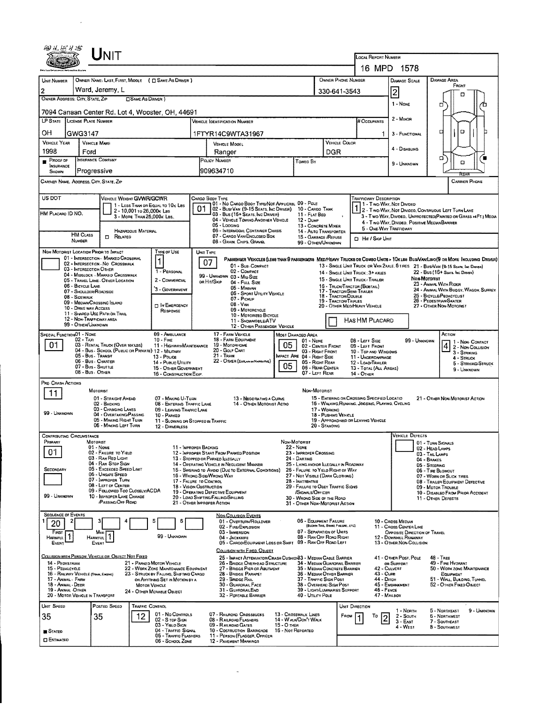|                                                                                                                                                                                                   |                                                                             |                                                                         |                            |                                                           |                                                                                                     |                                                                                                                                                                                                                    |                                                                                                                              |                                                       |                                                |                                                          |                                                  | LOCAL REPORT NUMBER                                                                                                              |                                                                                                                  |                                        |                                                                   |                    |  |  |
|---------------------------------------------------------------------------------------------------------------------------------------------------------------------------------------------------|-----------------------------------------------------------------------------|-------------------------------------------------------------------------|----------------------------|-----------------------------------------------------------|-----------------------------------------------------------------------------------------------------|--------------------------------------------------------------------------------------------------------------------------------------------------------------------------------------------------------------------|------------------------------------------------------------------------------------------------------------------------------|-------------------------------------------------------|------------------------------------------------|----------------------------------------------------------|--------------------------------------------------|----------------------------------------------------------------------------------------------------------------------------------|------------------------------------------------------------------------------------------------------------------|----------------------------------------|-------------------------------------------------------------------|--------------------|--|--|
|                                                                                                                                                                                                   |                                                                             |                                                                         |                            |                                                           |                                                                                                     |                                                                                                                                                                                                                    |                                                                                                                              |                                                       |                                                |                                                          |                                                  | 16 MPD                                                                                                                           | 1578                                                                                                             |                                        |                                                                   |                    |  |  |
| UNIT NUMBER                                                                                                                                                                                       | OWNER PHONE NUMBER<br>OWNER NAME: LAST, FIRST, MIDDLE ( C SAME AS DRIVER )  |                                                                         |                            |                                                           |                                                                                                     |                                                                                                                                                                                                                    |                                                                                                                              |                                                       |                                                |                                                          |                                                  |                                                                                                                                  | <b>DAMAGE SCALE</b>                                                                                              | DAMAGE AREA                            |                                                                   |                    |  |  |
| 2                                                                                                                                                                                                 | Ward, Jeremy, L                                                             |                                                                         |                            |                                                           |                                                                                                     |                                                                                                                                                                                                                    | 330-641-3543                                                                                                                 |                                                       |                                                | 2                                                        |                                                  | FROM<br>m                                                                                                                        |                                                                                                                  |                                        |                                                                   |                    |  |  |
| OWNER ADDRESS: CITY, STATE, ZIP<br><b>CISAME AS DRIVER</b> )                                                                                                                                      |                                                                             |                                                                         |                            |                                                           |                                                                                                     |                                                                                                                                                                                                                    |                                                                                                                              |                                                       |                                                |                                                          |                                                  |                                                                                                                                  | 1 - None                                                                                                         | σ                                      |                                                                   | п                  |  |  |
| 7094 Canaan Center Rd. Lot 4, Wooster, OH, 44691<br>LP STATE LICENSE PLATE NUMBER                                                                                                                 |                                                                             |                                                                         |                            |                                                           |                                                                                                     |                                                                                                                                                                                                                    |                                                                                                                              |                                                       |                                                |                                                          |                                                  |                                                                                                                                  | 2 - MINOR                                                                                                        |                                        |                                                                   |                    |  |  |
|                                                                                                                                                                                                   |                                                                             |                                                                         |                            |                                                           |                                                                                                     |                                                                                                                                                                                                                    | Vehicle Igentification Number                                                                                                |                                                       |                                                |                                                          |                                                  | # Occupants                                                                                                                      |                                                                                                                  | □                                      |                                                                   |                    |  |  |
| OН<br><b>VEHICLE YEAR</b>                                                                                                                                                                         | GWG3147                                                                     |                                                                         |                            |                                                           |                                                                                                     |                                                                                                                                                                                                                    | 1FTYR14C9WTA31967                                                                                                            |                                                       |                                                |                                                          | VEHICLE COLOR                                    | 1                                                                                                                                | 3 - FUNCTIONAL                                                                                                   | O                                      |                                                                   |                    |  |  |
| 1998                                                                                                                                                                                              | Ford                                                                        | <b>VEHICLE MAKE</b>                                                     |                            |                                                           |                                                                                                     | VEHICLE MOOEL<br>Ranger                                                                                                                                                                                            |                                                                                                                              |                                                       |                                                |                                                          | DGR                                              |                                                                                                                                  | 4 - DISABLING                                                                                                    |                                        |                                                                   |                    |  |  |
| PROOF<br>INSURANCE                                                                                                                                                                                |                                                                             | INSURANCE COMPANY                                                       |                            |                                                           |                                                                                                     | POLICY NUMBER<br>Toweo By                                                                                                                                                                                          |                                                                                                                              |                                                       |                                                |                                                          |                                                  |                                                                                                                                  | 9 - UNKNOWN                                                                                                      | σ<br>۵                                 |                                                                   |                    |  |  |
| SHOWN                                                                                                                                                                                             | Progressive                                                                 |                                                                         |                            |                                                           |                                                                                                     | 909634710                                                                                                                                                                                                          |                                                                                                                              |                                                       |                                                |                                                          |                                                  |                                                                                                                                  |                                                                                                                  | REAR                                   |                                                                   |                    |  |  |
| CARRIER NAME, ADDRESS, CITY, STATE, ZIP<br><b>CARRIER PHONE</b>                                                                                                                                   |                                                                             |                                                                         |                            |                                                           |                                                                                                     |                                                                                                                                                                                                                    |                                                                                                                              |                                                       |                                                |                                                          |                                                  |                                                                                                                                  |                                                                                                                  |                                        |                                                                   |                    |  |  |
| US DOT                                                                                                                                                                                            |                                                                             | VEHICLE WEIGHT GVWR/GCWR                                                |                            |                                                           |                                                                                                     | CARGO BODY TYPE                                                                                                                                                                                                    | 01 - No CARGO BOOY TYPE/NOT APPLICABL 09 - POLE                                                                              |                                                       |                                                |                                                          |                                                  | TRAFFICWAY DESCRIPTION                                                                                                           | 1 - Two-Way, Not Divided                                                                                         |                                        |                                                                   |                    |  |  |
| HM PLACARO ID NO.                                                                                                                                                                                 |                                                                             |                                                                         | 2 - 10,001 to 26,000k Les  | 1 - LESS THAN OR EQUAL TO 10x LBS                         | 01.                                                                                                 |                                                                                                                                                                                                                    | 02 - Busi Van (9-15 Seats, Inc Driver)<br>03 - Bus (16+ Seats, Inc Driver)                                                   |                                                       | 10 - CARGO TANK<br>11 - FLAT BED               |                                                          |                                                  |                                                                                                                                  | 1 2 - Two-Way, NOT DIVIDEO, CONTINUOUS LEFT TURN LANE                                                            |                                        |                                                                   |                    |  |  |
|                                                                                                                                                                                                   |                                                                             |                                                                         | 3 - MORE THAN 26.000x LBS. |                                                           |                                                                                                     |                                                                                                                                                                                                                    | 04 - VEHICLE TOWING ANOTHER VEHICLE<br>05 - Looging                                                                          |                                                       | $12 - D$ UMP<br>13 - CONCRETE MIXER            |                                                          | $\pmb{\cdot}$                                    |                                                                                                                                  | 3 - Two-Way, Divided, Unprotected(Painted or Grass >4FT.) Megia<br>4 - Two-Way, Divided, Positive Meoran Barrier |                                        |                                                                   |                    |  |  |
|                                                                                                                                                                                                   | <b>HM CLASS</b>                                                             | <b>D</b> RELATED                                                        | <b>HAZAROOUS MATERIAL</b>  |                                                           |                                                                                                     |                                                                                                                                                                                                                    | 06 - Intermodal Container Chasis<br>07 - CARGO VANIENCLOSEO BOX                                                              |                                                       | 14 - AUTO TRANSPORTER<br>15 - GARBAGE / REFUSE |                                                          |                                                  | 5 - ONE-WAY TRAFFICWAY<br><b>D</b> Hit / Skip Unit                                                                               |                                                                                                                  |                                        |                                                                   |                    |  |  |
|                                                                                                                                                                                                   | NUMBER                                                                      |                                                                         |                            |                                                           |                                                                                                     |                                                                                                                                                                                                                    | 08 - GRAIN, CHIPS, GRAVEL                                                                                                    |                                                       | 99 - OTHER/UNKNOWN                             |                                                          |                                                  |                                                                                                                                  |                                                                                                                  |                                        |                                                                   |                    |  |  |
| NON-MOTORIST LOCATION PRIOR TO IMPACT                                                                                                                                                             |                                                                             | 01 - INTERSECTION - MARKED CROSSWAL<br>02 - INTERSECTION - NO CROSSWALK |                            | TYPE OF USE<br>1                                          |                                                                                                     | UNIT TYPE<br>07                                                                                                                                                                                                    | PASSENGER VEHICLES (LESS THAN 9 PASSENGERS MED/HEAVY TRUCKS OR COMBO UNITS > 10KLBS BUS/VAN/LIMO(9 OR MORE INCLUDING DRIVER) |                                                       |                                                |                                                          |                                                  |                                                                                                                                  |                                                                                                                  |                                        |                                                                   |                    |  |  |
|                                                                                                                                                                                                   | 03 - INTERSECTION OTHER                                                     | 04 - MIDSLOCK - MARKED CROSSWALK                                        |                            | 1 - PERSONAL                                              |                                                                                                     |                                                                                                                                                                                                                    | 01 - Sub-Compact<br>02 - COMPACT                                                                                             |                                                       |                                                |                                                          |                                                  | 14 - SINGLE UNIT TRUCK: 3+ AXLES                                                                                                 | 13 - SINGLE UNIT TRUCK OR VAN ZAXLE, 6 TIRES 21 - BUS/VAN (9-15 SEATS, INC DRIVER)                               |                                        | 22 - BUS (16+ SEATS, Inc. DRIVER)                                 |                    |  |  |
|                                                                                                                                                                                                   | 06 - BICYCLE LANE                                                           | 05 - TRAVEL LANE - OTHER LOCATION                                       |                            | 2 - COMMERCIAL                                            |                                                                                                     | OR HIT/SKIP                                                                                                                                                                                                        | 99 - UNKNOWN 03 - MIO SIZE<br>04 - FULL SIZE                                                                                 |                                                       |                                                |                                                          |                                                  | 15 - SINGLE UNIT TRUCK / TRAILER<br>16 - TRUCK/TRACTOR (BOBTAIL)                                                                 |                                                                                                                  | NON-MOTORIST<br>23 - ANIMAL WITH RIDER |                                                                   |                    |  |  |
|                                                                                                                                                                                                   | 07 - SHOULDER/ROADSIGE<br>08 - SIDEWALK                                     |                                                                         |                            | 3 - Government                                            |                                                                                                     | 05 - MINIVAN<br>06 - Sport UTILITY VEHICLE                                                                                                                                                                         |                                                                                                                              |                                                       |                                                |                                                          | 17 - TRACTOR/SEMI-TRAILER<br>18 - TRACTOR/DOUBLE |                                                                                                                                  |                                                                                                                  |                                        | 24 - ANIMAL WITH BUGGY, WAGON, SURREY<br>25 - BICYCLE/PEOACYCLIST |                    |  |  |
|                                                                                                                                                                                                   | 09 - MEOIAN/CROSSING ISLAND<br><b>DIN EMERGENCY</b><br>10 - DRNE WAY ACCESS |                                                                         |                            |                                                           |                                                                                                     |                                                                                                                                                                                                                    | 07 - PICKUP<br>08 - Van<br>09 - MOTORCYCLE                                                                                   |                                                       |                                                |                                                          |                                                  | 19 - TRACTOR/TRIPLES<br>20 - OTHER MEO/HEAVY VEHICLE                                                                             | 26 - PEDESTRIAN/SKATER<br>27 - OTHER NON-MOTORIST                                                                |                                        |                                                                   |                    |  |  |
|                                                                                                                                                                                                   | 12 - NON-TRAFFICWAY AREA                                                    | 11 - SHARED-USE PATH OR TRAIL                                           |                            | RESPONSE                                                  |                                                                                                     | 10 - Motorizeo Bicycle<br>11 - SNOWMOBILE/ATV                                                                                                                                                                      |                                                                                                                              |                                                       |                                                |                                                          |                                                  | HAS HM PLACARD                                                                                                                   |                                                                                                                  |                                        |                                                                   |                    |  |  |
|                                                                                                                                                                                                   | 99 - OTHER/UNKNOWN                                                          |                                                                         |                            |                                                           |                                                                                                     |                                                                                                                                                                                                                    | 12 - OTHER PASSENGER VEHICLE                                                                                                 |                                                       |                                                |                                                          |                                                  |                                                                                                                                  |                                                                                                                  |                                        |                                                                   |                    |  |  |
| SPECIAL FUNCTION 01 - NONE<br>01                                                                                                                                                                  | $02 - T_A x_1$                                                              |                                                                         |                            | 09 - AMBULANCE<br>$10 -$ Fine<br>11 - HIGHWAY/MAINTENANCE |                                                                                                     |                                                                                                                                                                                                                    | 17 - FARM VEHICLE<br><b>18 - FARM EQUIPMENT</b><br>19 - Мотонноме                                                            | Most Damageo Area<br>$01 - None$<br>02 - CENTER FRONT |                                                |                                                          | 08 - LEFT SIDE<br>09 - LEFT FRONT                | 99 - Unknown                                                                                                                     |                                                                                                                  | ACTION<br>1 - NON-CONTACT              |                                                                   |                    |  |  |
| 03 - RENTAL TRUCK (OVER 10K LBS)<br>04 - Bus - School (Public or Private) 12 - Military<br>05 - Bus - Transit                                                                                     |                                                                             |                                                                         |                            |                                                           | 05<br>20 - GOLF CART<br>03 - RIGHT FRONT<br>$21 -$ Traw<br>IMPACT ARE 04 - RIGHT SIDE<br>13 - Pouce |                                                                                                                                                                                                                    |                                                                                                                              |                                                       |                                                |                                                          |                                                  | 10 - TOP AND WINDOWS<br>11 - UNDERCARRIAGE                                                                                       | 2 - Non-Collision<br>3 - STRIKING<br>4 - STRUCK                                                                  |                                        |                                                                   |                    |  |  |
| 06 - Bus - Charter<br>07 - Bus - SHUTTLE                                                                                                                                                          |                                                                             |                                                                         |                            | 14 - Pueuc UTairy                                         | 22 - OTHER (EXPLAN IN NARRATIVE)<br>05 - RIGHT REAR<br>05<br>06 - REAR CENTER                       |                                                                                                                                                                                                                    |                                                                                                                              |                                                       |                                                |                                                          |                                                  | 12 - LOAD/TRAILER<br>13 - TOTAL (ALL AREAS)                                                                                      |                                                                                                                  |                                        |                                                                   | 5 - STRIKWO/STRUCK |  |  |
| 15 - OTHER GOVERNMENT<br>08 - Bus - Other<br>16 - CONSTRUCTION EOIP                                                                                                                               |                                                                             |                                                                         |                            |                                                           |                                                                                                     | 07 - Left Rear                                                                                                                                                                                                     |                                                                                                                              |                                                       |                                                |                                                          |                                                  | 14 - OTHER                                                                                                                       |                                                                                                                  |                                        | 9 - UNKNOWN                                                       |                    |  |  |
| PRE-CRASH ACTIONS                                                                                                                                                                                 |                                                                             | MOTORIST                                                                |                            |                                                           |                                                                                                     |                                                                                                                                                                                                                    |                                                                                                                              |                                                       | NON-MOTORIST                                   |                                                          |                                                  |                                                                                                                                  |                                                                                                                  |                                        |                                                                   |                    |  |  |
| 11                                                                                                                                                                                                |                                                                             | 01 - STRAIGHT AHEAD<br>02 - BACKING                                     |                            | 07 - MAKING U-TURN                                        | 13 - Negotiating a Curve                                                                            |                                                                                                                                                                                                                    |                                                                                                                              |                                                       |                                                |                                                          |                                                  | 15 - ENTERING OR CROSSING SPECIFIED LOCATIO<br>21 - OTHER NON-MOTORIST ACTION<br>16 - WALKING RUNNING, JOGGING, PLAYING, CYCLING |                                                                                                                  |                                        |                                                                   |                    |  |  |
| 99 - UNKNOWN                                                                                                                                                                                      |                                                                             | 03 - CHANGING LANES<br>04 - OVERTAKING/PASSING                          |                            | 10 - PARKED                                               | 08 - ENTERING TRAFFIC LANE<br>14 - OTHER MOTORIST ACTIO<br>09 - LEAVING TRAFFIC LANE                |                                                                                                                                                                                                                    |                                                                                                                              |                                                       |                                                |                                                          | 17 - WORKING<br>18 - PUSHING VEHICLE             |                                                                                                                                  |                                                                                                                  |                                        |                                                                   |                    |  |  |
|                                                                                                                                                                                                   |                                                                             | 05 - MAKING RIGHT TURN<br>06 - MAKING LEFT TURN                         |                            |                                                           | 11 - Slowing on Stopped in Traffic<br>12 - DANERLESS                                                |                                                                                                                                                                                                                    |                                                                                                                              |                                                       |                                                |                                                          | 20 - Stanoing                                    | 19 - APPROACHIND OR LEAVING VEHICLE                                                                                              |                                                                                                                  |                                        |                                                                   |                    |  |  |
| <b>CONTRIBUTING CIRCUMSTANCE</b>                                                                                                                                                                  |                                                                             |                                                                         |                            |                                                           |                                                                                                     |                                                                                                                                                                                                                    |                                                                                                                              |                                                       |                                                |                                                          |                                                  |                                                                                                                                  | VEHICLE DEFECTS                                                                                                  |                                        |                                                                   |                    |  |  |
| PRIMARY                                                                                                                                                                                           |                                                                             | MOTORIST<br>$01 - None$                                                 |                            | 11 - IMPROPER BACKING                                     |                                                                                                     |                                                                                                                                                                                                                    |                                                                                                                              |                                                       | NON-MOTORIST<br>22 - Nove                      |                                                          |                                                  |                                                                                                                                  |                                                                                                                  | 01 - TURN SIGNALS<br>02 - HEAD LAMPS   |                                                                   |                    |  |  |
| 01                                                                                                                                                                                                |                                                                             | 02 - FAILURE TO YIELD<br>03 - RAN RED LIGHT<br>04 - RAN STOP SIGN       |                            |                                                           |                                                                                                     | 12 - IMPROPER START FROM PARKED POSITION<br>23 - IMPROPER CROSSING<br>13 - STOPPED OR PARKED LLEGALLY<br>24 - DARTING                                                                                              |                                                                                                                              |                                                       |                                                |                                                          |                                                  |                                                                                                                                  | 03 - TAIL LAMPS<br>04 - BRAKES<br>05 - STEERING                                                                  |                                        |                                                                   |                    |  |  |
| SECONDARY                                                                                                                                                                                         |                                                                             | 05 - Exceeded Speed Limit<br>06 - UNSAFE SPEED                          |                            |                                                           |                                                                                                     | 14 - OPERATING VEHICLE IN NEGLIGENT MANNER<br>25 - LYING AND/OR LLEGALLY IN ROADWAY<br>15 - Swering to Avoid (Due to External Conditions)<br>26 - FALURE TO YIELD RIGHT OF WAY<br>27 - NOT VISIBLE (DARK CLOTHING) |                                                                                                                              |                                                       |                                                |                                                          |                                                  |                                                                                                                                  |                                                                                                                  | 06 - TIRE BLOWOUT                      |                                                                   |                    |  |  |
|                                                                                                                                                                                                   |                                                                             | 07 - IMPROPER TURN<br>08 - LEFT OF CENTER                               |                            |                                                           |                                                                                                     | 16 - WRONG SIDE/WRONG WAY<br>17 - FALURE TO CONTROL<br>28 - INATTENTIVE<br>18 - VISION OBSTRUCTION<br>29 - FAILURE TO OBEY TRAFFIC SIGNS                                                                           |                                                                                                                              |                                                       |                                                |                                                          |                                                  |                                                                                                                                  |                                                                                                                  |                                        | 07 - WORN OR SLICK TIRES<br>08 - TRAILER EQUIPMENT DEFECTIVE      |                    |  |  |
| 99 - UNKNOWN                                                                                                                                                                                      |                                                                             | 09 - Followed Too Closely/ACDA<br>10 - IMPROPER LANE CHANGE             |                            |                                                           |                                                                                                     | 19 - OPERATING DEFECTIVE EQUIPMENT<br>/SIGNALS/OFFICER<br>20 - LOAD SHIFTING/FALLING/SPILLING<br>30 - WRONG SIDE OF THE ROAD                                                                                       |                                                                                                                              |                                                       |                                                |                                                          |                                                  |                                                                                                                                  | 09 - MOTOR TROUBLE<br>10 - DISABLED FROM PRIOR ACCIDENT<br>11 - OTHER DEFECTS                                    |                                        |                                                                   |                    |  |  |
|                                                                                                                                                                                                   |                                                                             | <b>PASSING/OFF ROAD</b>                                                 |                            | 21 - OTHER IMPROPER ACTION                                |                                                                                                     |                                                                                                                                                                                                                    |                                                                                                                              |                                                       | 31 - OTHER NON-MOTORIST ACTION                 |                                                          |                                                  |                                                                                                                                  |                                                                                                                  |                                        |                                                                   |                    |  |  |
| <b>SEQUENCE OF EVENTS</b><br>2                                                                                                                                                                    |                                                                             | з                                                                       |                            | 5<br>٤                                                    |                                                                                                     |                                                                                                                                                                                                                    | NON-COLLISION EVENTS<br>01 - OVERTURN/ROLLDVER                                                                               |                                                       | 06 - EQUIPMENT FAILURE                         |                                                          |                                                  |                                                                                                                                  | 10 - CROSS MEDIAN                                                                                                |                                        |                                                                   |                    |  |  |
| 20<br>First                                                                                                                                                                                       |                                                                             | Most                                                                    |                            |                                                           |                                                                                                     |                                                                                                                                                                                                                    | 02 - FIRE/EXPLOSION<br>03 - IMMERSION                                                                                        |                                                       | 07 - SEPARATION OF UNITS                       | (BLOWN TIRE, BRAKE FAILURE, ETC)                         |                                                  |                                                                                                                                  | 11 - Cross Center Line<br>OPPOSITE DIRECTION OF TRAVEL                                                           |                                        |                                                                   |                    |  |  |
| HARMFUL <sup>1</sup><br>EVENT                                                                                                                                                                     |                                                                             | HARMFUL <sup>1</sup><br>EVENT                                           |                            | 99 - UNKNOWN                                              |                                                                                                     |                                                                                                                                                                                                                    | 04 - JACKKNIFE<br>05 - CARGO/EQUIPMENT LOSS OR SHIFT 09 - RAN OFF ROAD LEFT                                                  |                                                       | 08 - RAN OFF ROAD RIGHT                        |                                                          |                                                  |                                                                                                                                  | 12 - DOWNHILL RUNAWAY<br>13 - OTHER NON-COLLISION                                                                |                                        |                                                                   |                    |  |  |
|                                                                                                                                                                                                   |                                                                             |                                                                         |                            |                                                           |                                                                                                     |                                                                                                                                                                                                                    | COLLISION WITH FIXED, OBJECT                                                                                                 |                                                       |                                                |                                                          |                                                  |                                                                                                                                  | 41 - OTHER POST, POLE                                                                                            | <b>48 - TREE</b>                       |                                                                   |                    |  |  |
| COLLISION WITH PERSON, VEHICLE OR OBJECT NOT FIXED<br>14 - PEDESTRIAN<br>21 - PARKED MOTOR VEHICLE                                                                                                |                                                                             |                                                                         |                            |                                                           |                                                                                                     | 25 - IMPACT ATTENUATOR/CRASH CUSHION33 - MEDIAN CABLE BARRIER<br>26 - BRIDGE OVERHEAD STRUCTURE<br>34 - MEDIAN GUARDRAIL BARRIER<br>35 - Median Concrete Barrier                                                   |                                                                                                                              |                                                       |                                                |                                                          |                                                  |                                                                                                                                  | OR SUPPORT<br>42 - CULVERT                                                                                       |                                        | 49 - FIRE HYORANT<br>50 - WORK ZONE MAINTENANCE                   |                    |  |  |
| 22 - WORK ZONE MAINTENANCE EQUIPMENT<br>15 - Pedalcycle<br>16 - RAILWAY VEHICLE (TRAIN, ENGINE)<br>23 - STRUCK BY FALLING, SHIFTING CARGO<br>17 - Animal - Farm<br>OR ANYTHING SET IN MOTION BY A |                                                                             |                                                                         |                            |                                                           |                                                                                                     | 27 - BRIDGE PIER OR ABUTMENT<br>28 - BRIDGE PARAPET<br>37 - TRAFFIC SIGN POST<br>29 - BRIDGE RAIL                                                                                                                  |                                                                                                                              |                                                       |                                                |                                                          | 36 - MEDIAN OTHER BARRIER                        | 43 - Cure<br>44 - Опен                                                                                                           |                                                                                                                  |                                        | EQUIPMENT<br>51 - WALL, BULDING, TUNNEL                           |                    |  |  |
| 18 - Animal - Deer<br><b>MOTOR VEHICLE</b><br>19 - Animal Other<br>24 - OTHER MOVABLE OBJECT                                                                                                      |                                                                             |                                                                         |                            |                                                           | 30 - GUARDRAIL FACE<br>31 - GUARDRAILEND                                                            |                                                                                                                                                                                                                    |                                                                                                                              |                                                       |                                                | 38 - OVERHEAD SIGN POST<br>39 - LIGHT/LUMINARIES SUPPORT |                                                  | 46 - Ремсе                                                                                                                       | 45 - EMBANKMENT                                                                                                  | 52 - Отнея Ріхер Овласт                |                                                                   |                    |  |  |
| 20 - MOTOR VEHICLE IN TRANSPORT                                                                                                                                                                   |                                                                             |                                                                         |                            |                                                           |                                                                                                     |                                                                                                                                                                                                                    | 32 - PORTABLE BARRIER                                                                                                        |                                                       | 40 - UTILITY POLE                              |                                                          |                                                  | 47 - MAILBOX                                                                                                                     |                                                                                                                  |                                        |                                                                   |                    |  |  |
| UNIT SPEED                                                                                                                                                                                        |                                                                             | Posten Speen                                                            | TRAFFIC CONTROL            | 01 - No CONTROLS                                          |                                                                                                     |                                                                                                                                                                                                                    | 07 - RAILROAD CROSSBUCKS                                                                                                     |                                                       | 13 - CROSSWALK LINES                           |                                                          | UNIT DIRECTION                                   |                                                                                                                                  | 1 - North                                                                                                        |                                        | 5 - NORTHEAST                                                     | 9 - UNKNOWN        |  |  |
| 35                                                                                                                                                                                                |                                                                             | 35                                                                      | 12                         | 02 - S rop Sign<br>03 - Yield Sign                        |                                                                                                     |                                                                                                                                                                                                                    | 08 - RAILROAD FLASHERS<br>09 - RAILROAD GATES                                                                                | 15 - О тиєя                                           | 14 - WALK/DON'T WALK                           |                                                          | FROM                                             | То<br>2                                                                                                                          | $2 -$ South<br>$3 - E$ AST<br>4 - West                                                                           |                                        | 6 - NORTHWEST<br>7 - SOUTHEAST<br>8 - SOUTHWEST                   |                    |  |  |
| $S$ TATED                                                                                                                                                                                         |                                                                             |                                                                         |                            | 04 - TRAFFIC SIGNAL<br>05 - TRAFFIC FLASHERS              |                                                                                                     |                                                                                                                                                                                                                    | 10 - COSTRUCTION BARRICADE<br>11 - PERSON (FLAGGER, OFFICER                                                                  | 16 - Not Reported                                     |                                                |                                                          |                                                  |                                                                                                                                  |                                                                                                                  |                                        |                                                                   |                    |  |  |
| <b>CI ESTIMATED</b>                                                                                                                                                                               |                                                                             |                                                                         |                            | 06 - SCHOOL ZONE                                          |                                                                                                     |                                                                                                                                                                                                                    | 12 - PAVEMENT MARKINGS                                                                                                       |                                                       |                                                |                                                          |                                                  |                                                                                                                                  |                                                                                                                  |                                        |                                                                   |                    |  |  |

 $\mathcal{L}^{\text{max}}_{\text{max}}$  ,  $\mathcal{L}^{\text{max}}_{\text{max}}$ 

 $\label{eq:2.1} \mathcal{L}(\mathcal{L}^{\text{max}}_{\text{max}}(\mathbf{z}^{\text{max}}_{\text{max}})) = \mathcal{L}(\mathcal{L}^{\text{max}}_{\text{max}}(\mathbf{z}^{\text{max}}_{\text{max}}))$